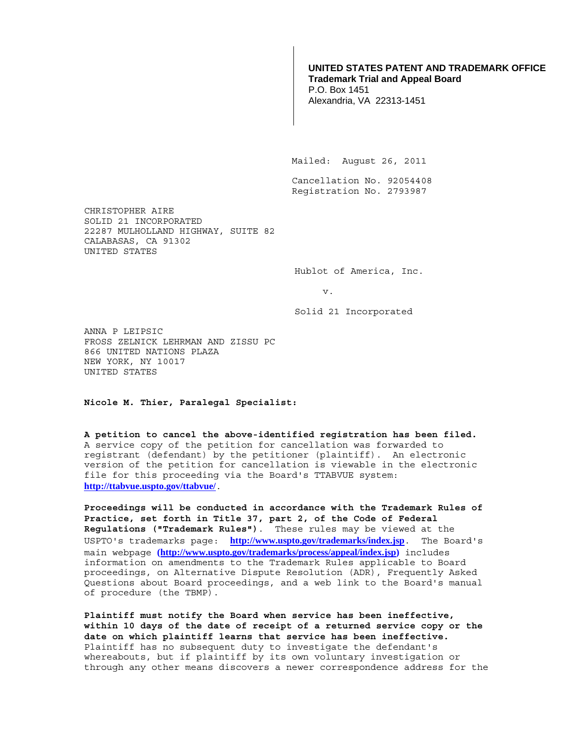## **UNITED STATES PATENT AND TRADEMARK OFFICE Trademark Trial and Appeal Board**

P.O. Box 1451 Alexandria, VA 22313-1451

Mailed: August 26, 2011

 Cancellation No. 92054408 Registration No. 2793987

CHRISTOPHER AIRE SOLID 21 INCORPORATED 22287 MULHOLLAND HIGHWAY, SUITE 82 CALABASAS, CA 91302 UNITED STATES

Hublot of America, Inc.

v.

Solid 21 Incorporated

ANNA P LEIPSIC FROSS ZELNICK LEHRMAN AND ZISSU PC 866 UNITED NATIONS PLAZA NEW YORK, NY 10017 UNITED STATES

**Nicole M. Thier, Paralegal Specialist:** 

**A petition to cancel the above-identified registration has been filed.**  A service copy of the petition for cancellation was forwarded to registrant (defendant) by the petitioner (plaintiff). An electronic version of the petition for cancellation is viewable in the electronic file for this proceeding via the Board's TTABVUE system: **http://ttabvue.uspto.gov/ttabvue/**.

**Proceedings will be conducted in accordance with the Trademark Rules of Practice, set forth in Title 37, part 2, of the Code of Federal Regulations ("Trademark Rules")**. These rules may be viewed at the USPTO's trademarks page: **http://www.uspto.gov/trademarks/index.jsp**. The Board's main webpage **(http://www.uspto.gov/trademarks/process/appeal/index.jsp)** includes information on amendments to the Trademark Rules applicable to Board proceedings, on Alternative Dispute Resolution (ADR), Frequently Asked Questions about Board proceedings, and a web link to the Board's manual of procedure (the TBMP).

**Plaintiff must notify the Board when service has been ineffective, within 10 days of the date of receipt of a returned service copy or the date on which plaintiff learns that service has been ineffective.** Plaintiff has no subsequent duty to investigate the defendant's whereabouts, but if plaintiff by its own voluntary investigation or through any other means discovers a newer correspondence address for the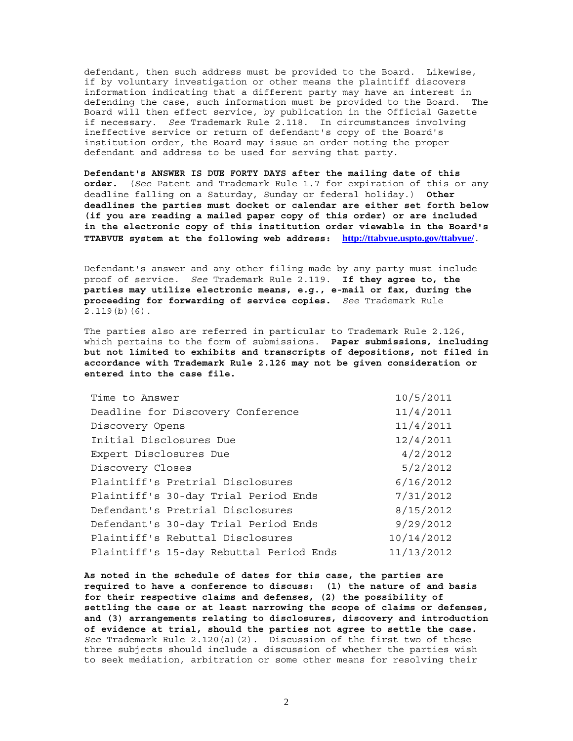defendant, then such address must be provided to the Board. Likewise, if by voluntary investigation or other means the plaintiff discovers information indicating that a different party may have an interest in defending the case, such information must be provided to the Board. The Board will then effect service, by publication in the Official Gazette if necessary. *See* Trademark Rule 2.118. In circumstances involving ineffective service or return of defendant's copy of the Board's institution order, the Board may issue an order noting the proper defendant and address to be used for serving that party.

**Defendant's ANSWER IS DUE FORTY DAYS after the mailing date of this order.** (*See* Patent and Trademark Rule 1.7 for expiration of this or any deadline falling on a Saturday, Sunday or federal holiday.) **Other deadlines the parties must docket or calendar are either set forth below (if you are reading a mailed paper copy of this order) or are included in the electronic copy of this institution order viewable in the Board's TTABVUE system at the following web address: http://ttabvue.uspto.gov/ttabvue/**.

Defendant's answer and any other filing made by any party must include proof of service. *See* Trademark Rule 2.119. **If they agree to, the parties may utilize electronic means, e.g., e-mail or fax, during the proceeding for forwarding of service copies.** *See* Trademark Rule  $2.119(b)(6)$ .

The parties also are referred in particular to Trademark Rule 2.126, which pertains to the form of submissions. **Paper submissions, including but not limited to exhibits and transcripts of depositions, not filed in accordance with Trademark Rule 2.126 may not be given consideration or entered into the case file.**

| Time to Answer                          | 10/5/2011  |
|-----------------------------------------|------------|
| Deadline for Discovery Conference       | 11/4/2011  |
| Discovery Opens                         | 11/4/2011  |
| Initial Disclosures Due                 | 12/4/2011  |
| Expert Disclosures Due                  | 4/2/2012   |
| Discovery Closes                        | 5/2/2012   |
| Plaintiff's Pretrial Disclosures        | 6/16/2012  |
| Plaintiff's 30-day Trial Period Ends    | 7/31/2012  |
| Defendant's Pretrial Disclosures        | 8/15/2012  |
| Defendant's 30-day Trial Period Ends    | 9/29/2012  |
| Plaintiff's Rebuttal Disclosures        | 10/14/2012 |
| Plaintiff's 15-day Rebuttal Period Ends | 11/13/2012 |

**As noted in the schedule of dates for this case, the parties are required to have a conference to discuss: (1) the nature of and basis for their respective claims and defenses, (2) the possibility of settling the case or at least narrowing the scope of claims or defenses, and (3) arrangements relating to disclosures, discovery and introduction of evidence at trial, should the parties not agree to settle the case.** *See* Trademark Rule 2.120(a)(2). Discussion of the first two of these three subjects should include a discussion of whether the parties wish to seek mediation, arbitration or some other means for resolving their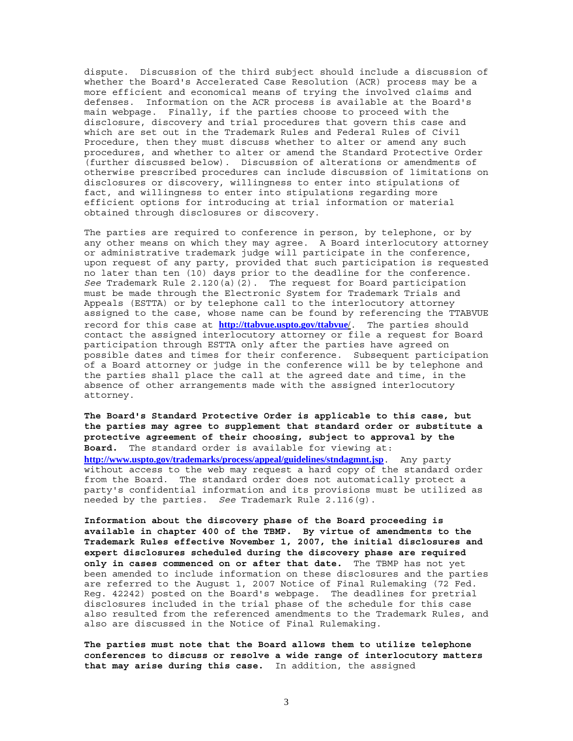dispute. Discussion of the third subject should include a discussion of whether the Board's Accelerated Case Resolution (ACR) process may be a more efficient and economical means of trying the involved claims and defenses. Information on the ACR process is available at the Board's main webpage. Finally, if the parties choose to proceed with the disclosure, discovery and trial procedures that govern this case and which are set out in the Trademark Rules and Federal Rules of Civil Procedure, then they must discuss whether to alter or amend any such procedures, and whether to alter or amend the Standard Protective Order (further discussed below). Discussion of alterations or amendments of otherwise prescribed procedures can include discussion of limitations on disclosures or discovery, willingness to enter into stipulations of fact, and willingness to enter into stipulations regarding more efficient options for introducing at trial information or material obtained through disclosures or discovery.

The parties are required to conference in person, by telephone, or by any other means on which they may agree. A Board interlocutory attorney or administrative trademark judge will participate in the conference, upon request of any party, provided that such participation is requested no later than ten (10) days prior to the deadline for the conference. *See* Trademark Rule 2.120(a)(2). The request for Board participation must be made through the Electronic System for Trademark Trials and Appeals (ESTTA) or by telephone call to the interlocutory attorney assigned to the case, whose name can be found by referencing the TTABVUE record for this case at **http://ttabvue.uspto.gov/ttabvue**/. The parties should contact the assigned interlocutory attorney or file a request for Board participation through ESTTA only after the parties have agreed on possible dates and times for their conference. Subsequent participation of a Board attorney or judge in the conference will be by telephone and the parties shall place the call at the agreed date and time, in the absence of other arrangements made with the assigned interlocutory attorney.

**The Board's Standard Protective Order is applicable to this case, but the parties may agree to supplement that standard order or substitute a protective agreement of their choosing, subject to approval by the Board.** The standard order is available for viewing at: **http://www.uspto.gov/trademarks/process/appeal/guidelines/stndagmnt.jsp**. Any party without access to the web may request a hard copy of the standard order from the Board. The standard order does not automatically protect a party's confidential information and its provisions must be utilized as needed by the parties. *See* Trademark Rule 2.116(g).

**Information about the discovery phase of the Board proceeding is available in chapter 400 of the TBMP. By virtue of amendments to the Trademark Rules effective November 1, 2007, the initial disclosures and expert disclosures scheduled during the discovery phase are required only in cases commenced on or after that date.** The TBMP has not yet been amended to include information on these disclosures and the parties are referred to the August 1, 2007 Notice of Final Rulemaking (72 Fed. Reg. 42242) posted on the Board's webpage. The deadlines for pretrial disclosures included in the trial phase of the schedule for this case also resulted from the referenced amendments to the Trademark Rules, and also are discussed in the Notice of Final Rulemaking.

**The parties must note that the Board allows them to utilize telephone conferences to discuss or resolve a wide range of interlocutory matters that may arise during this case.** In addition, the assigned